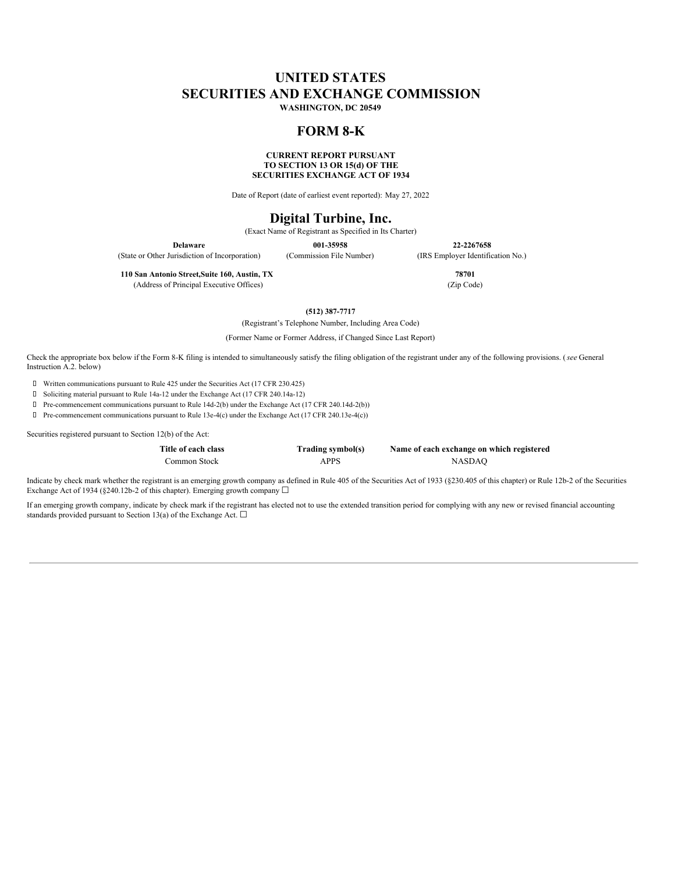# **UNITED STATES SECURITIES AND EXCHANGE COMMISSION**

**WASHINGTON, DC 20549**

# **FORM 8-K**

## **CURRENT REPORT PURSUANT TO SECTION 13 OR 15(d) OF THE SECURITIES EXCHANGE ACT OF 1934**

Date of Report (date of earliest event reported): May 27, 2022

# **Digital Turbine, Inc.**

(Exact Name of Registrant as Specified in Its Charter)

(State or Other Jurisdiction of Incorporation) (Commission File Number) (IRS Employer Identification No.)

**Delaware 001-35958 22-2267658**

**110 San Antonio Street,Suite 160, Austin, TX 78701** (Address of Principal Executive Offices) (Zip Code)

**(512) 387-7717**

(Registrant's Telephone Number, Including Area Code)

(Former Name or Former Address, if Changed Since Last Report)

Check the appropriate box below if the Form 8-K filing is intended to simultaneously satisfy the filing obligation of the registrant under any of the following provisions. (*see* General Instruction A.2. below)

Written communications pursuant to Rule 425 under the Securities Act (17 CFR 230.425)

Soliciting material pursuant to Rule 14a-12 under the Exchange Act (17 CFR 240.14a-12)

Pre-commencement communications pursuant to Rule 14d-2(b) under the Exchange Act (17 CFR 240.14d-2(b))

Pre-commencement communications pursuant to Rule 13e-4(c) under the Exchange Act (17 CFR 240.13e-4(c))

Securities registered pursuant to Section 12(b) of the Act:

**Title of each class Trading symbol(s) Name of each exchange on which registered** Common Stock APPS NASDAQ

Indicate by check mark whether the registrant is an emerging growth company as defined in Rule 405 of the Securities Act of 1933 (§230.405 of this chapter) or Rule 12b-2 of the Securities Exchange Act of 1934 (§240.12b-2 of this chapter). Emerging growth company  $\Box$ 

If an emerging growth company, indicate by check mark if the registrant has elected not to use the extended transition period for complying with any new or revised financial accounting standards provided pursuant to Section 13(a) of the Exchange Act.  $\Box$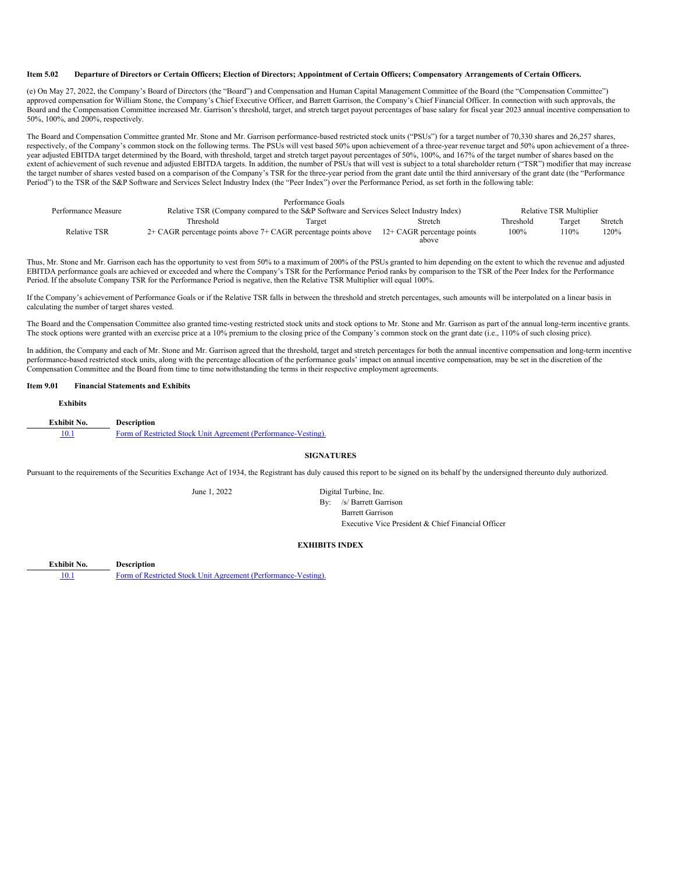#### Item 5.02 Departure of Directors or Certain Officers; Election of Directors; Appointment of Certain Officers; Compensatory Arrangements of Certain Officers.

(e) On May 27, 2022, the Company's Board of Directors (the "Board") and Compensation and Human Capital Management Committee of the Board (the "Compensation Committee") approved compensation for William Stone, the Company's Chief Executive Officer, and Barrett Garrison, the Company's Chief Financial Officer. In connection with such approvals, the Board and the Compensation Committee increased Mr. Garrison's threshold, target, and stretch target payout percentages of base salary for fiscal year 2023 annual incentive compensation to 50%, 100%, and 200%, respectively.

The Board and Compensation Committee granted Mr. Stone and Mr. Garrison performance-based restricted stock units ("PSUs") for a target number of 70,330 shares and 26,257 shares, respectively, of the Company's common stock on the following terms. The PSUs will vest based 50% upon achievement of a three-year revenue target and 50% upon achievement of a threeyear adjusted EBITDA target determined by the Board, with threshold, target and stretch target payout percentages of 50%, 100%, and 167% of the target number of shares based on the extent of achievement of such revenue and adjusted EBITDA targets. In addition, the number of PSUs that will vest is subject to a total shareholder return ("TSR") modifier that may increase the target number of shares vested based on a comparison of the Company's TSR for the three-year period from the grant date until the third anniversary of the grant date (the "Performance Period") to the TSR of the S&P Software and Services Select Industry Index (the "Peer Index") over the Performance Period, as set forth in the following table:

|                                                                                        |                                                                                        | Performance Goals          |         |           |                                |         |  |
|----------------------------------------------------------------------------------------|----------------------------------------------------------------------------------------|----------------------------|---------|-----------|--------------------------------|---------|--|
| Performance Measure                                                                    | Relative TSR (Company compared to the S&P Software and Services Select Industry Index) |                            |         |           | <b>Relative TSR Multiplier</b> |         |  |
|                                                                                        | Threshold                                                                              | Target                     | Stretch | Threshold | Target                         | Stretch |  |
| <b>Relative TSR</b><br>2+ CAGR percentage points above 7+ CAGR percentage points above |                                                                                        | 12+ CAGR percentage points | 100%    | 10%       | 120%                           |         |  |
|                                                                                        |                                                                                        |                            | above   |           |                                |         |  |

Thus, Mr. Stone and Mr. Garrison each has the opportunity to vest from 50% to a maximum of 200% of the PSUs granted to him depending on the extent to which the revenue and adjusted EBITDA performance goals are achieved or exceeded and where the Company's TSR for the Performance Period ranks by comparison to the TSR of the Peer Index for the Performance Period. If the absolute Company TSR for the Performance Period is negative, then the Relative TSR Multiplier will equal 100%.

If the Company's achievement of Performance Goals or if the Relative TSR falls in between the threshold and stretch percentages, such amounts will be interpolated on a linear basis in calculating the number of target shares vested.

The Board and the Compensation Committee also granted time-vesting restricted stock units and stock options to Mr. Stone and Mr. Garrison as part of the annual long-term incentive grants. The stock options were granted with an exercise price at a 10% premium to the closing price of the Company's common stock on the grant date (i.e., 110% of such closing price).

In addition, the Company and each of Mr. Stone and Mr. Garrison agreed that the threshold, target and stretch percentages for both the annual incentive compensation and long-term incentive performance-based restricted stock units, along with the percentage allocation of the performance goals' impact on annual incentive compensation, may be set in the discretion of the Compensation Committee and the Board from time to time notwithstanding the terms in their respective employment agreements.

## **Item 9.01 Financial Statements and Exhibits**

| <b>Exhibits</b> |                                                                |
|-----------------|----------------------------------------------------------------|
| Exhibit No.     | <b>Description</b>                                             |
| 10.1            | Form of Restricted Stock Unit Agreement (Performance-Vesting). |

#### **SIGNATURES**

Pursuant to the requirements of the Securities Exchange Act of 1934, the Registrant has duly caused this report to be signed on its behalf by the undersigned thereunto duly authorized.

June 1, 2022 Digital Turbine, Inc. By: /s/ Barrett Garrison Barrett Garrison Executive Vice President & Chief Financial Officer

## **EXHIBITS INDEX**

**Exhibit No. Description** [10.1](#page-5-0) Form of Restricted Stock Unit Agreement (Performance-Vesting).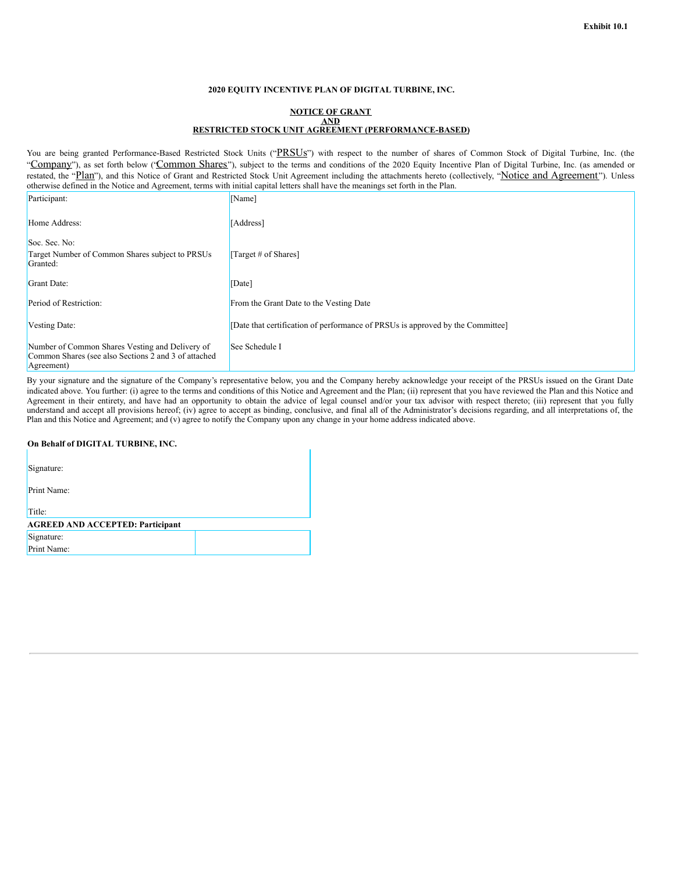## **2020 EQUITY INCENTIVE PLAN OF DIGITAL TURBINE, INC.**

#### **NOTICE OF GRANT AND RESTRICTED STOCK UNIT AGREEMENT (PERFORMANCE-BASED)**

You are being granted Performance-Based Restricted Stock Units ("PRSUs") with respect to the number of shares of Common Stock of Digital Turbine, Inc. (the "Company"), as set forth below ("Common Shares"), subject to the terms and conditions of the 2020 Equity Incentive Plan of Digital Turbine, Inc. (as amended or restated, the "Plan"), and this Notice of Grant and Restricted Stock Unit Agreement including the attachments hereto (collectively, "Notice and Agreement"). Unless otherwise defined in the Notice and Agreement, terms with initial capital letters shall have the meanings set forth in the Plan.

| Participant:                                                                                                          | [Name]                                                                         |
|-----------------------------------------------------------------------------------------------------------------------|--------------------------------------------------------------------------------|
| Home Address:                                                                                                         | [Address]                                                                      |
| Soc. Sec. No:<br>Target Number of Common Shares subject to PRSUs<br>Granted:                                          | [Target # of Shares]                                                           |
| Grant Date:                                                                                                           | [Date]                                                                         |
| Period of Restriction:                                                                                                | From the Grant Date to the Vesting Date                                        |
| Vesting Date:                                                                                                         | [Date that certification of performance of PRSUs is approved by the Committee] |
| Number of Common Shares Vesting and Delivery of<br>Common Shares (see also Sections 2 and 3 of attached<br>Agreement) | See Schedule I                                                                 |

By your signature and the signature of the Company's representative below, you and the Company hereby acknowledge your receipt of the PRSUs issued on the Grant Date indicated above. You further: (i) agree to the terms and conditions of this Notice and Agreement and the Plan; (ii) represent that you have reviewed the Plan and this Notice and Agreement in their entirety, and have had an opportunity to obtain the advice of legal counsel and/or your tax advisor with respect thereto; (iii) represent that you fully understand and accept all provisions hereof; (iv) agree to accept as binding, conclusive, and final all of the Administrator's decisions regarding, and all interpretations of, the Plan and this Notice and Agreement; and (v) agree to notify the Company upon any change in your home address indicated above.

## **On Behalf of DIGITAL TURBINE, INC.**

| Signature:                              |  |  |  |  |
|-----------------------------------------|--|--|--|--|
| Print Name:                             |  |  |  |  |
| Title:                                  |  |  |  |  |
| <b>AGREED AND ACCEPTED: Participant</b> |  |  |  |  |
| Signature:                              |  |  |  |  |
| Print Name:                             |  |  |  |  |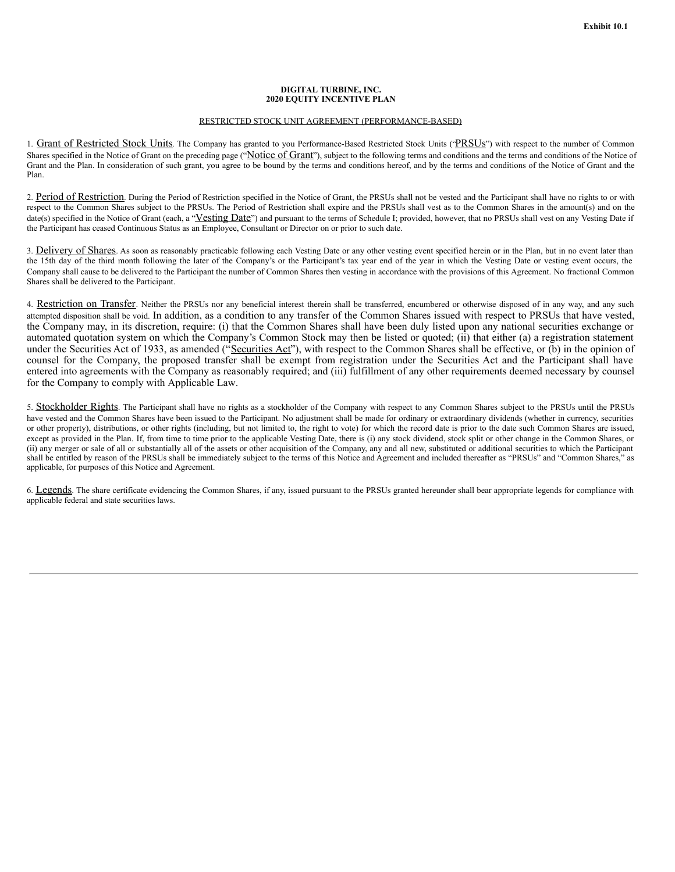#### **DIGITAL TURBINE, INC. 2020 EQUITY INCENTIVE PLAN**

## RESTRICTED STOCK UNIT AGREEMENT (PERFORMANCE-BASED)

1. Grant of Restricted Stock Units. The Company has granted to you Performance-Based Restricted Stock Units ("PRSUs") with respect to the number of Common Shares specified in the Notice of Grant on the preceding page ("Notice of Grant"), subject to the following terms and conditions and the terms and conditions of the Notice of Grant and the Plan. In consideration of such grant, you agree to be bound by the terms and conditions hereof, and by the terms and conditions of the Notice of Grant and the Plan.

2. Period of Restriction. During the Period of Restriction specified in the Notice of Grant, the PRSUs shall not be vested and the Participant shall have no rights to or with respect to the Common Shares subject to the PRSUs. The Period of Restriction shall expire and the PRSUs shall vest as to the Common Shares in the amount(s) and on the date(s) specified in the Notice of Grant (each, a "Vesting Date") and pursuant to the terms of Schedule I; provided, however, that no PRSUs shall vest on any Vesting Date if the Participant has ceased Continuous Status as an Employee, Consultant or Director on or prior to such date.

3. Delivery of Shares. As soon as reasonably practicable following each Vesting Date or any other vesting event specified herein or in the Plan, but in no event later than the 15th day of the third month following the later of the Company's or the Participant's tax year end of the year in which the Vesting Date or vesting event occurs, the Company shall cause to be delivered to the Participant the number of Common Shares then vesting in accordance with the provisions of this Agreement. No fractional Common Shares shall be delivered to the Participant.

4. Restriction on Transfer. Neither the PRSUs nor any beneficial interest therein shall be transferred, encumbered or otherwise disposed of in any way, and any such attempted disposition shall be void. In addition, as a condition to any transfer of the Common Shares issued with respect to PRSUs that have vested, the Company may, in its discretion, require: (i) that the Common Shares shall have been duly listed upon any national securities exchange or automated quotation system on which the Company's Common Stock may then be listed or quoted; (ii) that either (a) a registration statement under the Securities Act of 1933, as amended ("Securities Act"), with respect to the Common Shares shall be effective, or (b) in the opinion of counsel for the Company, the proposed transfer shall be exempt from registration under the Securities Act and the Participant shall have entered into agreements with the Company as reasonably required; and (iii) fulfillment of any other requirements deemed necessary by counsel for the Company to comply with Applicable Law.

5. Stockholder Rights. The Participant shall have no rights as a stockholder of the Company with respect to any Common Shares subject to the PRSUs until the PRSUs have vested and the Common Shares have been issued to the Participant. No adjustment shall be made for ordinary or extraordinary dividends (whether in currency, securities or other property), distributions, or other rights (including, but not limited to, the right to vote) for which the record date is prior to the date such Common Shares are issued, except as provided in the Plan. If, from time to time prior to the applicable Vesting Date, there is (i) any stock dividend, stock split or other change in the Common Shares, or (ii) any merger or sale of all or substantially all of the assets or other acquisition of the Company, any and all new, substituted or additional securities to which the Participant shall be entitled by reason of the PRSUs shall be immediately subject to the terms of this Notice and Agreement and included thereafter as "PRSUs" and "Common Shares," as applicable, for purposes of this Notice and Agreement.

6. Legends. The share certificate evidencing the Common Shares, if any, issued pursuant to the PRSUs granted hereunder shall bear appropriate legends for compliance with applicable federal and state securities laws.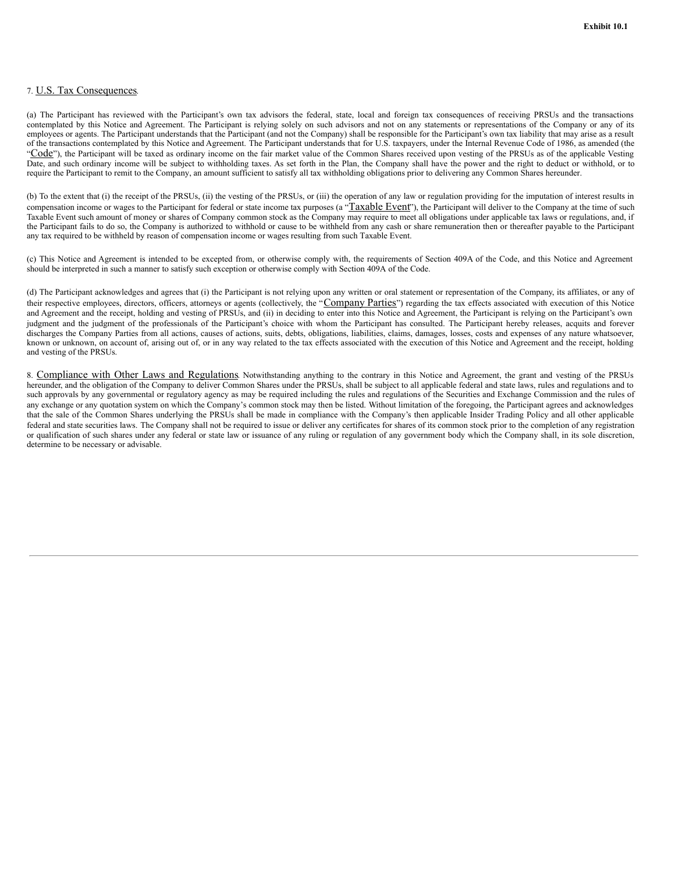## 7. U.S. Tax Consequences.

(a) The Participant has reviewed with the Participant's own tax advisors the federal, state, local and foreign tax consequences of receiving PRSUs and the transactions contemplated by this Notice and Agreement. The Participant is relying solely on such advisors and not on any statements or representations of the Company or any of its employees or agents. The Participant understands that the Participant (and not the Company) shall be responsible for the Participant's own tax liability that may arise as a result of the transactions contemplated by this Notice and Agreement. The Participant understands that for U.S. taxpayers, under the Internal Revenue Code of 1986, as amended (the "Code"), the Participant will be taxed as ordinary income on the fair market value of the Common Shares received upon vesting of the PRSUs as of the applicable Vesting Date, and such ordinary income will be subject to withholding taxes. As set forth in the Plan, the Company shall have the power and the right to deduct or withhold, or to require the Participant to remit to the Company, an amount sufficient to satisfy all tax withholding obligations prior to delivering any Common Shares hereunder.

(b) To the extent that (i) the receipt of the PRSUs, (ii) the vesting of the PRSUs, or (iii) the operation of any law or regulation providing for the imputation of interest results in compensation income or wages to the Participant for federal or state income tax purposes (a "Taxable Event"), the Participant will deliver to the Company at the time of such Taxable Event such amount of money or shares of Company common stock as the Company may require to meet all obligations under applicable tax laws or regulations, and, if the Participant fails to do so, the Company is authorized to withhold or cause to be withheld from any cash or share remuneration then or thereafter payable to the Participant any tax required to be withheld by reason of compensation income or wages resulting from such Taxable Event.

(c) This Notice and Agreement is intended to be excepted from, or otherwise comply with, the requirements of Section 409A of the Code, and this Notice and Agreement should be interpreted in such a manner to satisfy such exception or otherwise comply with Section 409A of the Code.

(d) The Participant acknowledges and agrees that (i) the Participant is not relying upon any written or oral statement or representation of the Company, its affiliates, or any of their respective employees, directors, officers, attorneys or agents (collectively, the "Company Parties") regarding the tax effects associated with execution of this Notice and Agreement and the receipt, holding and vesting of PRSUs, and (ii) in deciding to enter into this Notice and Agreement, the Participant is relying on the Participant's own judgment and the judgment of the professionals of the Participant's choice with whom the Participant has consulted. The Participant hereby releases, acquits and forever discharges the Company Parties from all actions, causes of actions, suits, debts, obligations, liabilities, claims, damages, losses, costs and expenses of any nature whatsoever, known or unknown, on account of, arising out of, or in any way related to the tax effects associated with the execution of this Notice and Agreement and the receipt, holding and vesting of the PRSUs.

8. Compliance with Other Laws and Regulations. Notwithstanding anything to the contrary in this Notice and Agreement, the grant and vesting of the PRSUs hereunder, and the obligation of the Company to deliver Common Shares under the PRSUs, shall be subject to all applicable federal and state laws, rules and regulations and to such approvals by any governmental or regulatory agency as may be required including the rules and regulations of the Securities and Exchange Commission and the rules of any exchange or any quotation system on which the Company's common stock may then be listed. Without limitation of the foregoing, the Participant agrees and acknowledges that the sale of the Common Shares underlying the PRSUs shall be made in compliance with the Company's then applicable Insider Trading Policy and all other applicable federal and state securities laws. The Company shall not be required to issue or deliver any certificates for shares of its common stock prior to the completion of any registration or qualification of such shares under any federal or state law or issuance of any ruling or regulation of any government body which the Company shall, in its sole discretion, determine to be necessary or advisable.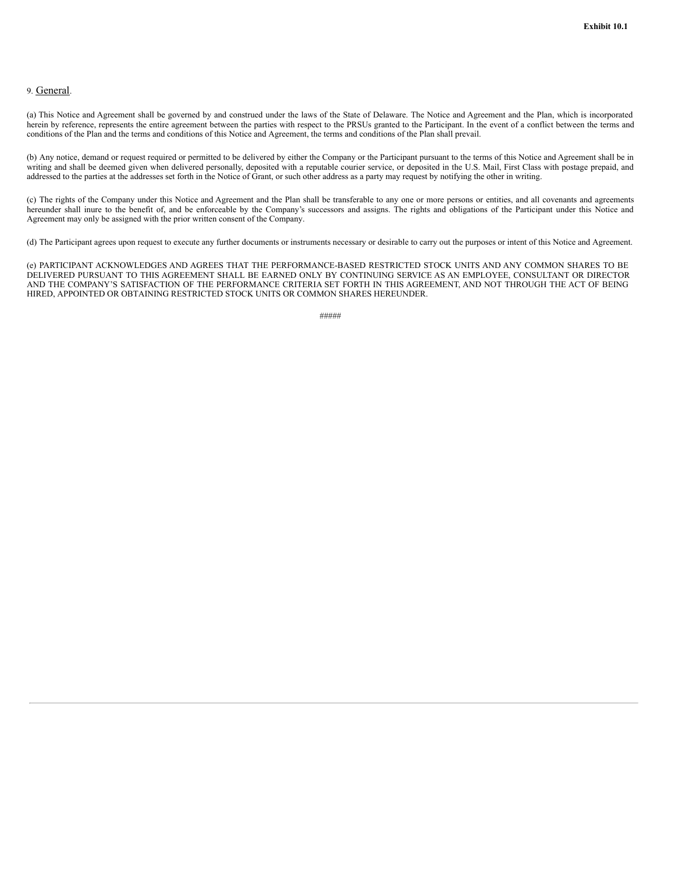## <span id="page-5-0"></span>9. General.

(a) This Notice and Agreement shall be governed by and construed under the laws of the State of Delaware. The Notice and Agreement and the Plan, which is incorporated herein by reference, represents the entire agreement between the parties with respect to the PRSUs granted to the Participant. In the event of a conflict between the terms and conditions of the Plan and the terms and conditions of this Notice and Agreement, the terms and conditions of the Plan shall prevail.

(b) Any notice, demand or request required or permitted to be delivered by either the Company or the Participant pursuant to the terms of this Notice and Agreement shall be in writing and shall be deemed given when delivered personally, deposited with a reputable courier service, or deposited in the U.S. Mail, First Class with postage prepaid, and addressed to the parties at the addresses set forth in the Notice of Grant, or such other address as a party may request by notifying the other in writing.

(c) The rights of the Company under this Notice and Agreement and the Plan shall be transferable to any one or more persons or entities, and all covenants and agreements hereunder shall inure to the benefit of, and be enforceable by the Company's successors and assigns. The rights and obligations of the Participant under this Notice and Agreement may only be assigned with the prior written consent of the Company.

(d) The Participant agrees upon request to execute any further documents or instruments necessary or desirable to carry out the purposes or intent of this Notice and Agreement.

(e) PARTICIPANT ACKNOWLEDGES AND AGREES THAT THE PERFORMANCE-BASED RESTRICTED STOCK UNITS AND ANY COMMON SHARES TO BE DELIVERED PURSUANT TO THIS AGREEMENT SHALL BE EARNED ONLY BY CONTINUING SERVICE AS AN EMPLOYEE, CONSULTANT OR DIRECTOR AND THE COMPANY'S SATISFACTION OF THE PERFORMANCE CRITERIA SET FORTH IN THIS AGREEMENT, AND NOT THROUGH THE ACT OF BEING HIRED, APPOINTED OR OBTAINING RESTRICTED STOCK UNITS OR COMMON SHARES HEREUNDER.

#####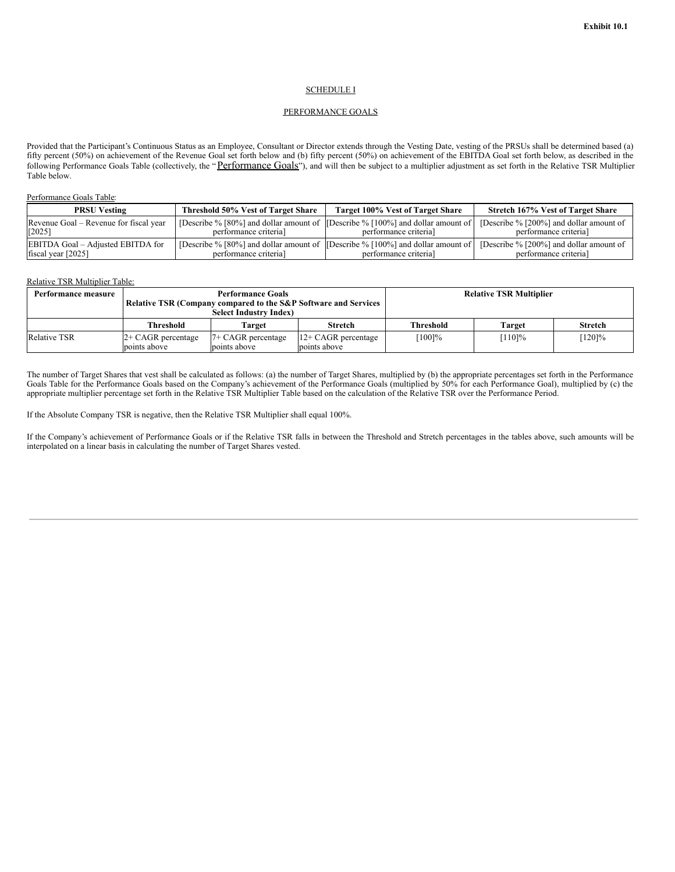### SCHEDULE I

## PERFORMANCE GOALS

Provided that the Participant's Continuous Status as an Employee, Consultant or Director extends through the Vesting Date, vesting of the PRSUs shall be determined based (a) fifty percent (50%) on achievement of the Revenue Goal set forth below and (b) fifty percent (50%) on achievement of the EBITDA Goal set forth below, as described in the following Performance Goals Table (collectively, the "Performance Goals"), and will then be subject to a multiplier adjustment as set forth in the Relative TSR Multiplier Table below.

## Performance Goals Table:

| <b>PRSU Vesting</b>                    | Threshold 50% Vest of Target Share | Target 100% Vest of Target Share                                                     | Stretch 167% Vest of Target Share       |
|----------------------------------------|------------------------------------|--------------------------------------------------------------------------------------|-----------------------------------------|
| Revenue Goal – Revenue for fiscal year | performance criterial              | [Describe $\%$ [80%] and dollar amount of [Describe $\%$ [100%] and dollar amount of | [Describe % [200%] and dollar amount of |
| $[2025]$                               |                                    | performance criterial                                                                | performance criterial                   |
| EBITDA Goal – Adjusted EBITDA for      | performance criterial              | [Describe % [80%] and dollar amount of [Describe % [100%] and dollar amount of       | [Describe % [200%] and dollar amount of |
| fiscal year $[2025]$                   |                                    | performance criterial                                                                | performance criterial                   |

#### Relative TSR Multiplier Table:

| Performance measure | <b>Performance Goals</b><br><b>Relative TSR (Company compared to the S&amp;P Software and Services</b><br><b>Select Industry Index)</b> |                                      |                                        | <b>Relative TSR Multiplier</b> |         |                |
|---------------------|-----------------------------------------------------------------------------------------------------------------------------------------|--------------------------------------|----------------------------------------|--------------------------------|---------|----------------|
|                     | <b>Threshold</b>                                                                                                                        | Target                               | <b>Stretch</b>                         | Threshold                      | Target  | <b>Stretch</b> |
| <b>Relative TSR</b> | $2+$ CAGR percentage<br>points above                                                                                                    | $7+$ CAGR percentage<br>points above | $12 + CAGR$ percentage<br>points above | $[100] \%$                     | $110\%$ | $[120]\%$      |

The number of Target Shares that vest shall be calculated as follows: (a) the number of Target Shares, multiplied by (b) the appropriate percentages set forth in the Performance Goals Table for the Performance Goals based on the Company's achievement of the Performance Goals (multiplied by 50% for each Performance Goal), multiplied by (c) the appropriate multiplier percentage set forth in the Relative TSR Multiplier Table based on the calculation of the Relative TSR over the Performance Period.

If the Absolute Company TSR is negative, then the Relative TSR Multiplier shall equal 100%.

If the Company's achievement of Performance Goals or if the Relative TSR falls in between the Threshold and Stretch percentages in the tables above, such amounts will be interpolated on a linear basis in calculating the number of Target Shares vested.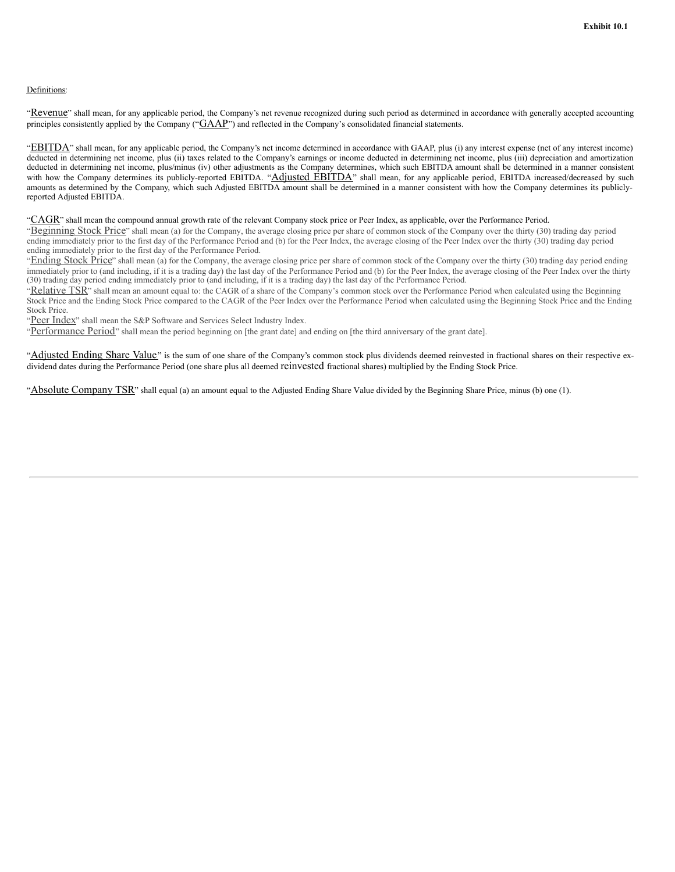## Definitions:

"Revenue" shall mean, for any applicable period, the Company's net revenue recognized during such period as determined in accordance with generally accepted accounting principles consistently applied by the Company (" $GAAP$ ") and reflected in the Company's consolidated financial statements.

"EBITDA" shall mean, for any applicable period, the Company's net income determined in accordance with GAAP, plus (i) any interest expense (net of any interest income) deducted in determining net income, plus (ii) taxes related to the Company's earnings or income deducted in determining net income, plus (iii) depreciation and amortization deducted in determining net income, plus/minus (iv) other adjustments as the Company determines, which such EBITDA amount shall be determined in a manner consistent with how the Company determines its publicly-reported EBITDA. "Adjusted EBITDA" shall mean, for any applicable period, EBITDA increased/decreased by such amounts as determined by the Company, which such Adjusted EBITDA amount shall be determined in a manner consistent with how the Company determines its publiclyreported Adjusted EBITDA.

#### "CAGR" shall mean the compound annual growth rate of the relevant Company stock price or Peer Index, as applicable, over the Performance Period.

"Beginning Stock Price" shall mean (a) for the Company, the average closing price per share of common stock of the Company over the thirty (30) trading day period ending immediately prior to the first day of the Performance Period and (b) for the Peer Index, the average closing of the Peer Index over the thirty (30) trading day period ending immediately prior to the first day of the Performance Period.

"Ending Stock Price" shall mean (a) for the Company, the average closing price per share of common stock of the Company over the thirty (30) trading day period ending immediately prior to (and including, if it is a trading day) the last day of the Performance Period and (b) for the Peer Index, the average closing of the Peer Index over the thirty (30) trading day period ending immediately prior to (and including, if it is a trading day) the last day of the Performance Period.

"Relative TSR" shall mean an amount equal to: the CAGR of a share of the Company's common stock over the Performance Period when calculated using the Beginning Stock Price and the Ending Stock Price compared to the CAGR of the Peer Index over the Performance Period when calculated using the Beginning Stock Price and the Ending Stock Price.

"Peer Index" shall mean the S&P Software and Services Select Industry Index.

"Performance Period" shall mean the period beginning on [the grant date] and ending on [the third anniversary of the grant date].

"Adjusted Ending Share Value" is the sum of one share of the Company's common stock plus dividends deemed reinvested in fractional shares on their respective exdividend dates during the Performance Period (one share plus all deemed reinvested fractional shares) multiplied by the Ending Stock Price.

"Absolute Company TSR" shall equal (a) an amount equal to the Adjusted Ending Share Value divided by the Beginning Share Price, minus (b) one (1).